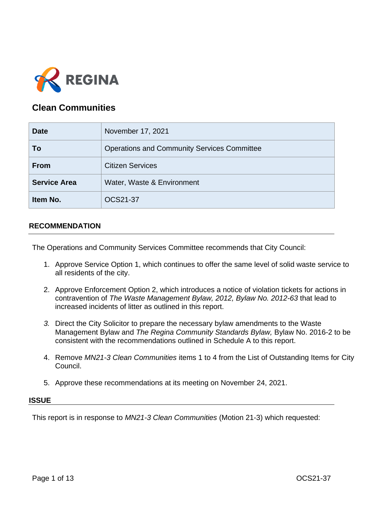

# **Clean Communities**

| <b>Date</b>         | November 17, 2021                                  |
|---------------------|----------------------------------------------------|
| To                  | <b>Operations and Community Services Committee</b> |
| <b>From</b>         | <b>Citizen Services</b>                            |
| <b>Service Area</b> | Water, Waste & Environment                         |
| Item No.            | OCS21-37                                           |

## **RECOMMENDATION**

The Operations and Community Services Committee recommends that City Council:

- 1. Approve Service Option 1, which continues to offer the same level of solid waste service to all residents of the city.
- 2. Approve Enforcement Option 2, which introduces a notice of violation tickets for actions in contravention of *The Waste Management Bylaw, 2012, Bylaw No. 2012-63* that lead to increased incidents of litter as outlined in this report.
- *3.* Direct the City Solicitor to prepare the necessary bylaw amendments to the Waste Management Bylaw and *The Regina Community Standards Bylaw,* Bylaw No. 2016-2 to be consistent with the recommendations outlined in Schedule A to this report.
- 4. Remove *MN21-3 Clean Communities* items 1 to 4 from the List of Outstanding Items for City Council.
- 5. Approve these recommendations at its meeting on November 24, 2021.

#### **ISSUE**

This report is in response to *MN21-3 Clean Communities* (Motion 21-3) which requested: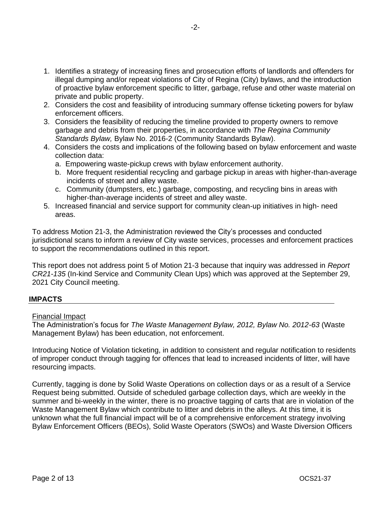- 1. Identifies a strategy of increasing fines and prosecution efforts of landlords and offenders for illegal dumping and/or repeat violations of City of Regina (City) bylaws, and the introduction of proactive bylaw enforcement specific to litter, garbage, refuse and other waste material on private and public property.
- 2. Considers the cost and feasibility of introducing summary offense ticketing powers for bylaw enforcement officers.
- 3. Considers the feasibility of reducing the timeline provided to property owners to remove garbage and debris from their properties, in accordance with *The Regina Community Standards Bylaw,* Bylaw No. 2016-2 (Community Standards Bylaw).
- 4. Considers the costs and implications of the following based on bylaw enforcement and waste collection data:
	- a. Empowering waste-pickup crews with bylaw enforcement authority.
	- b. More frequent residential recycling and garbage pickup in areas with higher-than-average incidents of street and alley waste.
	- c. Community (dumpsters, etc.) garbage, composting, and recycling bins in areas with higher-than-average incidents of street and alley waste.
- 5. Increased financial and service support for community clean-up initiatives in high- need areas.

To address Motion 21-3, the Administration reviewed the City's processes and conducted jurisdictional scans to inform a review of City waste services, processes and enforcement practices to support the recommendations outlined in this report.

This report does not address point 5 of Motion 21-3 because that inquiry was addressed in *Report CR21-135* (In-kind Service and Community Clean Ups) which was approved at the September 29, 2021 City Council meeting.

## **IMPACTS**

### Financial Impact

The Administration's focus for *The Waste Management Bylaw, 2012, Bylaw No. 2012-63* (Waste Management Bylaw) has been education, not enforcement.

Introducing Notice of Violation ticketing, in addition to consistent and regular notification to residents of improper conduct through tagging for offences that lead to increased incidents of litter, will have resourcing impacts.

Currently, tagging is done by Solid Waste Operations on collection days or as a result of a Service Request being submitted. Outside of scheduled garbage collection days, which are weekly in the summer and bi-weekly in the winter, there is no proactive tagging of carts that are in violation of the Waste Management Bylaw which contribute to litter and debris in the alleys. At this time, it is unknown what the full financial impact will be of a comprehensive enforcement strategy involving Bylaw Enforcement Officers (BEOs), Solid Waste Operators (SWOs) and Waste Diversion Officers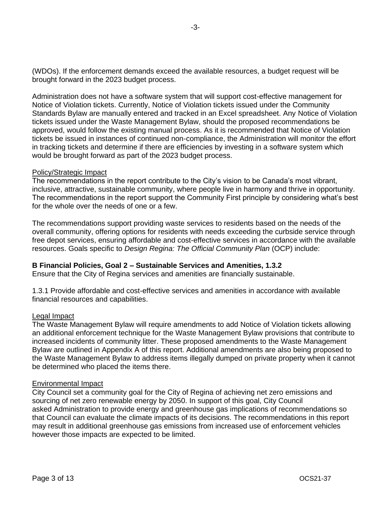(WDOs). If the enforcement demands exceed the available resources, a budget request will be brought forward in the 2023 budget process.

Administration does not have a software system that will support cost-effective management for Notice of Violation tickets. Currently, Notice of Violation tickets issued under the Community Standards Bylaw are manually entered and tracked in an Excel spreadsheet. Any Notice of Violation tickets issued under the Waste Management Bylaw, should the proposed recommendations be approved, would follow the existing manual process. As it is recommended that Notice of Violation tickets be issued in instances of continued non-compliance, the Administration will monitor the effort in tracking tickets and determine if there are efficiencies by investing in a software system which would be brought forward as part of the 2023 budget process.

### Policy/Strategic Impact

The recommendations in the report contribute to the City's vision to be Canada's most vibrant, inclusive, attractive, sustainable community, where people live in harmony and thrive in opportunity. The recommendations in the report support the Community First principle by considering what's best for the whole over the needs of one or a few.

The recommendations support providing waste services to residents based on the needs of the overall community, offering options for residents with needs exceeding the curbside service through free depot services, ensuring affordable and cost-effective services in accordance with the available resources. Goals specific to *Design Regina: The Official Community Plan* (OCP) include:

### **B Financial Policies, Goal 2 – Sustainable Services and Amenities, 1.3.2**

Ensure that the City of Regina services and amenities are financially sustainable.

1.3.1 Provide affordable and cost-effective services and amenities in accordance with available financial resources and capabilities.

### Legal Impact

The Waste Management Bylaw will require amendments to add Notice of Violation tickets allowing an additional enforcement technique for the Waste Management Bylaw provisions that contribute to increased incidents of community litter. These proposed amendments to the Waste Management Bylaw are outlined in Appendix A of this report. Additional amendments are also being proposed to the Waste Management Bylaw to address items illegally dumped on private property when it cannot be determined who placed the items there.

#### Environmental Impact

City Council set a community goal for the City of Regina of achieving net zero emissions and sourcing of net zero renewable energy by 2050. In support of this goal, City Council asked Administration to provide energy and greenhouse gas implications of recommendations so that Council can evaluate the climate impacts of its decisions. The recommendations in this report may result in additional greenhouse gas emissions from increased use of enforcement vehicles however those impacts are expected to be limited.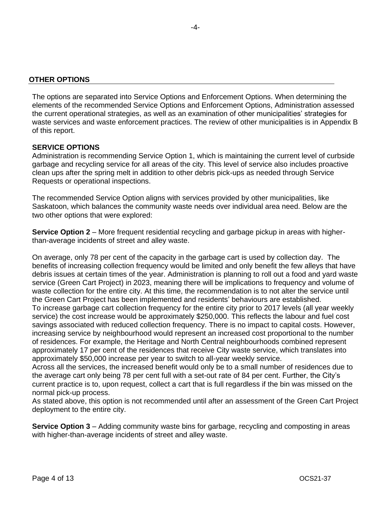The options are separated into Service Options and Enforcement Options. When determining the elements of the recommended Service Options and Enforcement Options, Administration assessed the current operational strategies, as well as an examination of other municipalities' strategies for waste services and waste enforcement practices. The review of other municipalities is in Appendix B of this report.

### **SERVICE OPTIONS**

Administration is recommending Service Option 1, which is maintaining the current level of curbside garbage and recycling service for all areas of the city. This level of service also includes proactive clean ups after the spring melt in addition to other debris pick-ups as needed through Service Requests or operational inspections.

The recommended Service Option aligns with services provided by other municipalities, like Saskatoon, which balances the community waste needs over individual area need. Below are the two other options that were explored:

**Service Option 2** – More frequent residential recycling and garbage pickup in areas with higherthan-average incidents of street and alley waste.

On average, only 78 per cent of the capacity in the garbage cart is used by collection day. The benefits of increasing collection frequency would be limited and only benefit the few alleys that have debris issues at certain times of the year. Administration is planning to roll out a food and yard waste service (Green Cart Project) in 2023, meaning there will be implications to frequency and volume of waste collection for the entire city. At this time, the recommendation is to not alter the service until the Green Cart Project has been implemented and residents' behaviours are established. To increase garbage cart collection frequency for the entire city prior to 2017 levels (all year weekly service) the cost increase would be approximately \$250,000. This reflects the labour and fuel cost savings associated with reduced collection frequency. There is no impact to capital costs. However, increasing service by neighbourhood would represent an increased cost proportional to the number of residences. For example, the Heritage and North Central neighbourhoods combined represent approximately 17 per cent of the residences that receive City waste service, which translates into approximately \$50,000 increase per year to switch to all-year weekly service.

Across all the services, the increased benefit would only be to a small number of residences due to the average cart only being 78 per cent full with a set-out rate of 84 per cent. Further, the City's current practice is to, upon request, collect a cart that is full regardless if the bin was missed on the normal pick-up process.

As stated above, this option is not recommended until after an assessment of the Green Cart Project deployment to the entire city.

**Service Option 3** – Adding community waste bins for garbage, recycling and composting in areas with higher-than-average incidents of street and alley waste.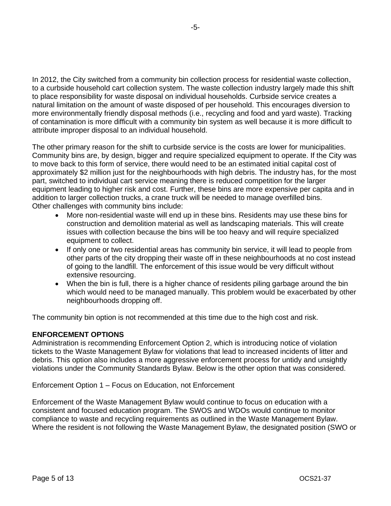In 2012, the City switched from a community bin collection process for residential waste collection, to a curbside household cart collection system. The waste collection industry largely made this shift to place responsibility for waste disposal on individual households. Curbside service creates a natural limitation on the amount of waste disposed of per household. This encourages diversion to more environmentally friendly disposal methods (i.e., recycling and food and yard waste). Tracking of contamination is more difficult with a community bin system as well because it is more difficult to attribute improper disposal to an individual household.

The other primary reason for the shift to curbside service is the costs are lower for municipalities. Community bins are, by design, bigger and require specialized equipment to operate. If the City was to move back to this form of service, there would need to be an estimated initial capital cost of approximately \$2 million just for the neighbourhoods with high debris. The industry has, for the most part, switched to individual cart service meaning there is reduced competition for the larger equipment leading to higher risk and cost. Further, these bins are more expensive per capita and in addition to larger collection trucks, a crane truck will be needed to manage overfilled bins. Other challenges with community bins include:

- More non-residential waste will end up in these bins. Residents may use these bins for construction and demolition material as well as landscaping materials. This will create issues with collection because the bins will be too heavy and will require specialized equipment to collect.
- If only one or two residential areas has community bin service, it will lead to people from other parts of the city dropping their waste off in these neighbourhoods at no cost instead of going to the landfill. The enforcement of this issue would be very difficult without extensive resourcing.
- When the bin is full, there is a higher chance of residents piling garbage around the bin which would need to be managed manually. This problem would be exacerbated by other neighbourhoods dropping off.

The community bin option is not recommended at this time due to the high cost and risk.

## **ENFORCEMENT OPTIONS**

Administration is recommending Enforcement Option 2, which is introducing notice of violation tickets to the Waste Management Bylaw for violations that lead to increased incidents of litter and debris. This option also includes a more aggressive enforcement process for untidy and unsightly violations under the Community Standards Bylaw. Below is the other option that was considered.

Enforcement Option 1 – Focus on Education, not Enforcement

Enforcement of the Waste Management Bylaw would continue to focus on education with a consistent and focused education program. The SWOS and WDOs would continue to monitor compliance to waste and recycling requirements as outlined in the Waste Management Bylaw. Where the resident is not following the Waste Management Bylaw, the designated position (SWO or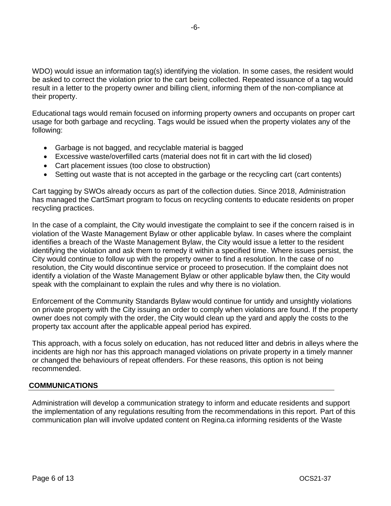WDO) would issue an information tag(s) identifying the violation. In some cases, the resident would be asked to correct the violation prior to the cart being collected. Repeated issuance of a tag would result in a letter to the property owner and billing client, informing them of the non-compliance at their property.

Educational tags would remain focused on informing property owners and occupants on proper cart usage for both garbage and recycling. Tags would be issued when the property violates any of the following:

- Garbage is not bagged, and recyclable material is bagged
- Excessive waste/overfilled carts (material does not fit in cart with the lid closed)
- Cart placement issues (too close to obstruction)
- Setting out waste that is not accepted in the garbage or the recycling cart (cart contents)

Cart tagging by SWOs already occurs as part of the collection duties. Since 2018, Administration has managed the CartSmart program to focus on recycling contents to educate residents on proper recycling practices.

In the case of a complaint, the City would investigate the complaint to see if the concern raised is in violation of the Waste Management Bylaw or other applicable bylaw. In cases where the complaint identifies a breach of the Waste Management Bylaw, the City would issue a letter to the resident identifying the violation and ask them to remedy it within a specified time. Where issues persist, the City would continue to follow up with the property owner to find a resolution. In the case of no resolution, the City would discontinue service or proceed to prosecution. If the complaint does not identify a violation of the Waste Management Bylaw or other applicable bylaw then, the City would speak with the complainant to explain the rules and why there is no violation.

Enforcement of the Community Standards Bylaw would continue for untidy and unsightly violations on private property with the City issuing an order to comply when violations are found. If the property owner does not comply with the order, the City would clean up the yard and apply the costs to the property tax account after the applicable appeal period has expired.

This approach, with a focus solely on education, has not reduced litter and debris in alleys where the incidents are high nor has this approach managed violations on private property in a timely manner or changed the behaviours of repeat offenders. For these reasons, this option is not being recommended.

### **COMMUNICATIONS**

Administration will develop a communication strategy to inform and educate residents and support the implementation of any regulations resulting from the recommendations in this report. Part of this communication plan will involve updated content on Regina.ca informing residents of the Waste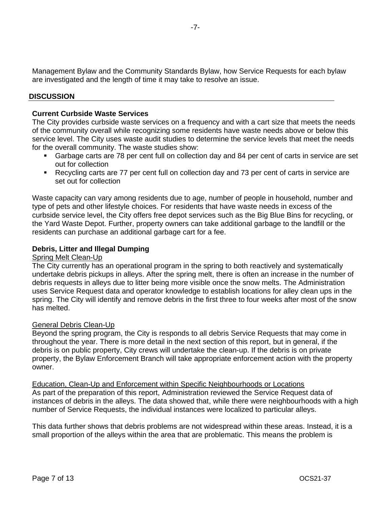Management Bylaw and the Community Standards Bylaw, how Service Requests for each bylaw are investigated and the length of time it may take to resolve an issue.

### **DISCUSSION**

### **Current Curbside Waste Services**

The City provides curbside waste services on a frequency and with a cart size that meets the needs of the community overall while recognizing some residents have waste needs above or below this service level. The City uses waste audit studies to determine the service levels that meet the needs for the overall community. The waste studies show:

- Garbage carts are 78 per cent full on collection day and 84 per cent of carts in service are set out for collection
- Recycling carts are 77 per cent full on collection day and 73 per cent of carts in service are set out for collection

Waste capacity can vary among residents due to age, number of people in household, number and type of pets and other lifestyle choices. For residents that have waste needs in excess of the curbside service level, the City offers free depot services such as the Big Blue Bins for recycling, or the Yard Waste Depot. Further, property owners can take additional garbage to the landfill or the residents can purchase an additional garbage cart for a fee.

### **Debris, Litter and Illegal Dumping**

#### Spring Melt Clean-Up

The City currently has an operational program in the spring to both reactively and systematically undertake debris pickups in alleys. After the spring melt, there is often an increase in the number of debris requests in alleys due to litter being more visible once the snow melts. The Administration uses Service Request data and operator knowledge to establish locations for alley clean ups in the spring. The City will identify and remove debris in the first three to four weeks after most of the snow has melted.

#### General Debris Clean-Up

Beyond the spring program, the City is responds to all debris Service Requests that may come in throughout the year. There is more detail in the next section of this report, but in general, if the debris is on public property, City crews will undertake the clean-up. If the debris is on private property, the Bylaw Enforcement Branch will take appropriate enforcement action with the property owner.

Education, Clean-Up and Enforcement within Specific Neighbourhoods or Locations As part of the preparation of this report, Administration reviewed the Service Request data of instances of debris in the alleys. The data showed that, while there were neighbourhoods with a high number of Service Requests, the individual instances were localized to particular alleys.

This data further shows that debris problems are not widespread within these areas. Instead, it is a small proportion of the alleys within the area that are problematic. This means the problem is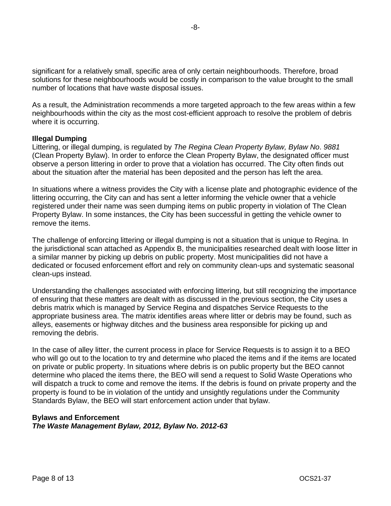significant for a relatively small, specific area of only certain neighbourhoods. Therefore, broad solutions for these neighbourhoods would be costly in comparison to the value brought to the small number of locations that have waste disposal issues.

As a result, the Administration recommends a more targeted approach to the few areas within a few neighbourhoods within the city as the most cost-efficient approach to resolve the problem of debris where it is occurring.

#### **Illegal Dumping**

Littering, or illegal dumping, is regulated by *The Regina Clean Property Bylaw, Bylaw No*. *9881* (Clean Property Bylaw). In order to enforce the Clean Property Bylaw, the designated officer must observe a person littering in order to prove that a violation has occurred. The City often finds out about the situation after the material has been deposited and the person has left the area.

In situations where a witness provides the City with a license plate and photographic evidence of the littering occurring, the City can and has sent a letter informing the vehicle owner that a vehicle registered under their name was seen dumping items on public property in violation of The Clean Property Bylaw. In some instances, the City has been successful in getting the vehicle owner to remove the items.

The challenge of enforcing littering or illegal dumping is not a situation that is unique to Regina. In the jurisdictional scan attached as Appendix B, the municipalities researched dealt with loose litter in a similar manner by picking up debris on public property. Most municipalities did not have a dedicated or focused enforcement effort and rely on community clean-ups and systematic seasonal clean-ups instead.

Understanding the challenges associated with enforcing littering, but still recognizing the importance of ensuring that these matters are dealt with as discussed in the previous section, the City uses a debris matrix which is managed by Service Regina and dispatches Service Requests to the appropriate business area. The matrix identifies areas where litter or debris may be found, such as alleys, easements or highway ditches and the business area responsible for picking up and removing the debris.

In the case of alley litter, the current process in place for Service Requests is to assign it to a BEO who will go out to the location to try and determine who placed the items and if the items are located on private or public property. In situations where debris is on public property but the BEO cannot determine who placed the items there, the BEO will send a request to Solid Waste Operations who will dispatch a truck to come and remove the items. If the debris is found on private property and the property is found to be in violation of the untidy and unsightly regulations under the Community Standards Bylaw, the BEO will start enforcement action under that bylaw.

#### **Bylaws and Enforcement**

*The Waste Management Bylaw, 2012, Bylaw No. 2012-63*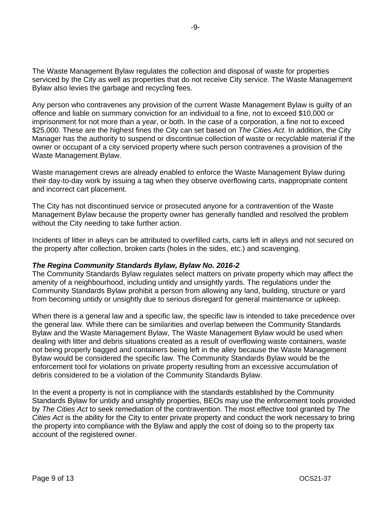The Waste Management Bylaw regulates the collection and disposal of waste for properties serviced by the City as well as properties that do not receive City service. The Waste Management Bylaw also levies the garbage and recycling fees.

Any person who contravenes any provision of the current Waste Management Bylaw is guilty of an offence and liable on summary conviction for an individual to a fine, not to exceed \$10,000 or imprisonment for not more than a year, or both. In the case of a corporation, a fine not to exceed \$25,000. These are the highest fines the City can set based on *The Cities Act.* In addition, the City Manager has the authority to suspend or discontinue collection of waste or recyclable material if the owner or occupant of a city serviced property where such person contravenes a provision of the Waste Management Bylaw.

Waste management crews are already enabled to enforce the Waste Management Bylaw during their day-to-day work by issuing a tag when they observe overflowing carts, inappropriate content and incorrect cart placement.

The City has not discontinued service or prosecuted anyone for a contravention of the Waste Management Bylaw because the property owner has generally handled and resolved the problem without the City needing to take further action.

Incidents of litter in alleys can be attributed to overfilled carts, carts left in alleys and not secured on the property after collection, broken carts (holes in the sides, etc.) and scavenging.

## *The Regina Community Standards Bylaw, Bylaw No. 2016-2*

The Community Standards Bylaw regulates select matters on private property which may affect the amenity of a neighbourhood, including untidy and unsightly yards. The regulations under the Community Standards Bylaw prohibit a person from allowing any land, building, structure or yard from becoming untidy or unsightly due to serious disregard for general maintenance or upkeep.

When there is a general law and a specific law, the specific law is intended to take precedence over the general law. While there can be similarities and overlap between the Community Standards Bylaw and the Waste Management Bylaw, The Waste Management Bylaw would be used when dealing with litter and debris situations created as a result of overflowing waste containers, waste not being properly bagged and containers being left in the alley because the Waste Management Bylaw would be considered the specific law. The Community Standards Bylaw would be the enforcement tool for violations on private property resulting from an excessive accumulation of debris considered to be a violation of the Community Standards Bylaw.

In the event a property is not in compliance with the standards established by the Community Standards Bylaw for untidy and unsightly properties, BEOs may use the enforcement tools provided by *The Cities Act* to seek remediation of the contravention. The most effective tool granted by *The Cities Act* is the ability for the City to enter private property and conduct the work necessary to bring the property into compliance with the Bylaw and apply the cost of doing so to the property tax account of the registered owner.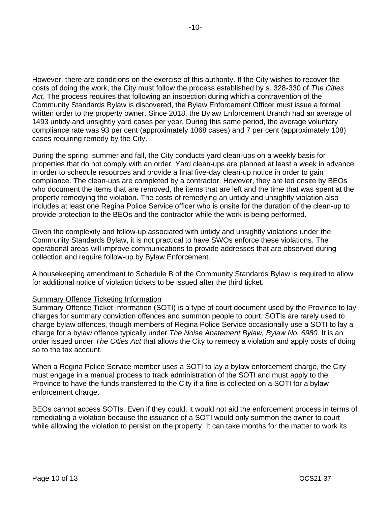However, there are conditions on the exercise of this authority. If the City wishes to recover the costs of doing the work, the City must follow the process established by s. 328-330 of *The Cities Act*. The process requires that following an inspection during which a contravention of the Community Standards Bylaw is discovered, the Bylaw Enforcement Officer must issue a formal written order to the property owner. Since 2018, the Bylaw Enforcement Branch had an average of 1493 untidy and unsightly yard cases per year. During this same period, the average voluntary compliance rate was 93 per cent (approximately 1068 cases) and 7 per cent (approximately 108) cases requiring remedy by the City.

During the spring, summer and fall, the City conducts yard clean-ups on a weekly basis for properties that do not comply with an order. Yard clean-ups are planned at least a week in advance in order to schedule resources and provide a final five-day clean-up notice in order to gain compliance. The clean-ups are completed by a contractor. However, they are led onsite by BEOs who document the items that are removed, the items that are left and the time that was spent at the property remedying the violation. The costs of remedying an untidy and unsightly violation also includes at least one Regina Police Service officer who is onsite for the duration of the clean-up to provide protection to the BEOs and the contractor while the work is being performed.

Given the complexity and follow-up associated with untidy and unsightly violations under the Community Standards Bylaw, it is not practical to have SWOs enforce these violations. The operational areas will improve communications to provide addresses that are observed during collection and require follow-up by Bylaw Enforcement.

A housekeeping amendment to Schedule B of the Community Standards Bylaw is required to allow for additional notice of violation tickets to be issued after the third ticket.

### Summary Offence Ticketing Information

Summary Offence Ticket Information (SOTI) is a type of court document used by the Province to lay charges for summary conviction offences and summon people to court. SOTIs are rarely used to charge bylaw offences, though members of Regina Police Service occasionally use a SOTI to lay a charge for a bylaw offence typically under *The Noise Abatement Bylaw, Bylaw No. 6980.* It is an order issued under *The Cities Act* that allows the City to remedy a violation and apply costs of doing so to the tax account.

When a Regina Police Service member uses a SOTI to lay a bylaw enforcement charge, the City must engage in a manual process to track administration of the SOTI and must apply to the Province to have the funds transferred to the City if a fine is collected on a SOTI for a bylaw enforcement charge.

BEOs cannot access SOTIs. Even if they could, it would not aid the enforcement process in terms of remediating a violation because the issuance of a SOTI would only summon the owner to court while allowing the violation to persist on the property. It can take months for the matter to work its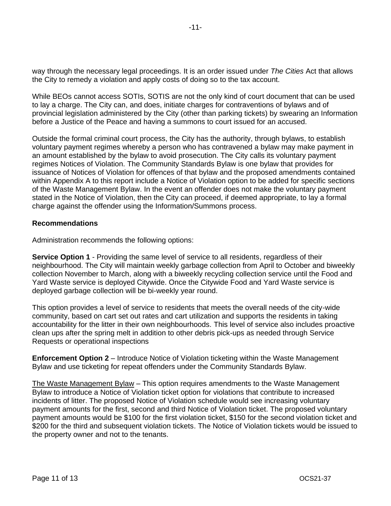way through the necessary legal proceedings. It is an order issued under *The Cities* Act that allows the City to remedy a violation and apply costs of doing so to the tax account.

While BEOs cannot access SOTIs, SOTIS are not the only kind of court document that can be used to lay a charge. The City can, and does, initiate charges for contraventions of bylaws and of provincial legislation administered by the City (other than parking tickets) by swearing an Information before a Justice of the Peace and having a summons to court issued for an accused.

Outside the formal criminal court process, the City has the authority, through bylaws, to establish voluntary payment regimes whereby a person who has contravened a bylaw may make payment in an amount established by the bylaw to avoid prosecution. The City calls its voluntary payment regimes Notices of Violation. The Community Standards Bylaw is one bylaw that provides for issuance of Notices of Violation for offences of that bylaw and the proposed amendments contained within Appendix A to this report include a Notice of Violation option to be added for specific sections of the Waste Management Bylaw. In the event an offender does not make the voluntary payment stated in the Notice of Violation, then the City can proceed, if deemed appropriate, to lay a formal charge against the offender using the Information/Summons process.

## **Recommendations**

Administration recommends the following options:

**Service Option 1** - Providing the same level of service to all residents, regardless of their neighbourhood. The City will maintain weekly garbage collection from April to October and biweekly collection November to March, along with a biweekly recycling collection service until the Food and Yard Waste service is deployed Citywide. Once the Citywide Food and Yard Waste service is deployed garbage collection will be bi-weekly year round.

This option provides a level of service to residents that meets the overall needs of the city-wide community, based on cart set out rates and cart utilization and supports the residents in taking accountability for the litter in their own neighbourhoods. This level of service also includes proactive clean ups after the spring melt in addition to other debris pick-ups as needed through Service Requests or operational inspections

**Enforcement Option 2** – Introduce Notice of Violation ticketing within the Waste Management Bylaw and use ticketing for repeat offenders under the Community Standards Bylaw.

The Waste Management Bylaw – This option requires amendments to the Waste Management Bylaw to introduce a Notice of Violation ticket option for violations that contribute to increased incidents of litter. The proposed Notice of Violation schedule would see increasing voluntary payment amounts for the first, second and third Notice of Violation ticket. The proposed voluntary payment amounts would be \$100 for the first violation ticket, \$150 for the second violation ticket and \$200 for the third and subsequent violation tickets. The Notice of Violation tickets would be issued to the property owner and not to the tenants.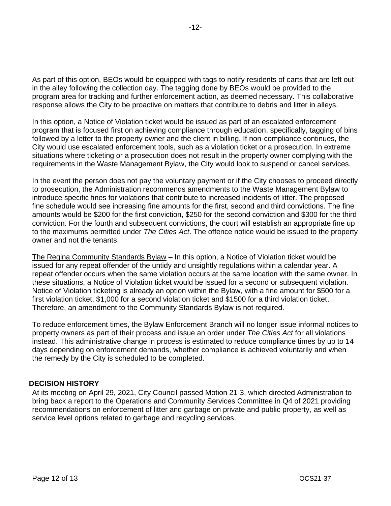As part of this option, BEOs would be equipped with tags to notify residents of carts that are left out in the alley following the collection day. The tagging done by BEOs would be provided to the program area for tracking and further enforcement action, as deemed necessary. This collaborative response allows the City to be proactive on matters that contribute to debris and litter in alleys.

In this option, a Notice of Violation ticket would be issued as part of an escalated enforcement program that is focused first on achieving compliance through education, specifically, tagging of bins followed by a letter to the property owner and the client in billing. If non-compliance continues, the City would use escalated enforcement tools, such as a violation ticket or a prosecution. In extreme situations where ticketing or a prosecution does not result in the property owner complying with the requirements in the Waste Management Bylaw, the City would look to suspend or cancel services.

In the event the person does not pay the voluntary payment or if the City chooses to proceed directly to prosecution, the Administration recommends amendments to the Waste Management Bylaw to introduce specific fines for violations that contribute to increased incidents of litter. The proposed fine schedule would see increasing fine amounts for the first, second and third convictions. The fine amounts would be \$200 for the first conviction, \$250 for the second conviction and \$300 for the third conviction. For the fourth and subsequent convictions, the court will establish an appropriate fine up to the maximums permitted under *The Cities Act*. The offence notice would be issued to the property owner and not the tenants.

The Regina Community Standards Bylaw – In this option, a Notice of Violation ticket would be issued for any repeat offender of the untidy and unsightly regulations within a calendar year. A repeat offender occurs when the same violation occurs at the same location with the same owner. In these situations, a Notice of Violation ticket would be issued for a second or subsequent violation. Notice of Violation ticketing is already an option within the Bylaw, with a fine amount for \$500 for a first violation ticket, \$1,000 for a second violation ticket and \$1500 for a third violation ticket. Therefore, an amendment to the Community Standards Bylaw is not required.

To reduce enforcement times, the Bylaw Enforcement Branch will no longer issue informal notices to property owners as part of their process and issue an order under *The Cities Act* for all violations instead. This administrative change in process is estimated to reduce compliance times by up to 14 days depending on enforcement demands, whether compliance is achieved voluntarily and when the remedy by the City is scheduled to be completed.

### **DECISION HISTORY**

At its meeting on April 29, 2021, City Council passed Motion 21-3, which directed Administration to bring back a report to the Operations and Community Services Committee in Q4 of 2021 providing recommendations on enforcement of litter and garbage on private and public property, as well as service level options related to garbage and recycling services.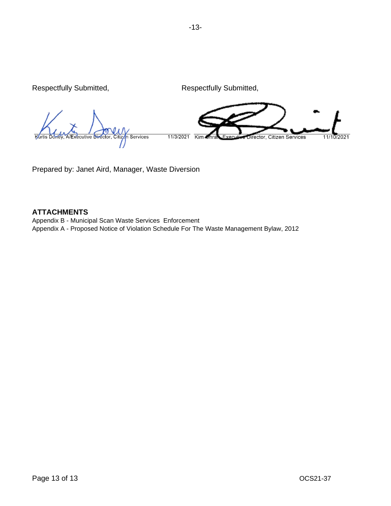Respectfully Submitted, Respectfully Submitted,

cutive Services 11/3/2021 Kim irector, Citizen Services  $11/$ 

Prepared by: Janet Aird, Manager, Waste Diversion

## **ATTACHMENTS**

Appendix B - Municipal Scan Waste Services Enforcement Appendix A - Proposed Notice of Violation Schedule For The Waste Management Bylaw, 2012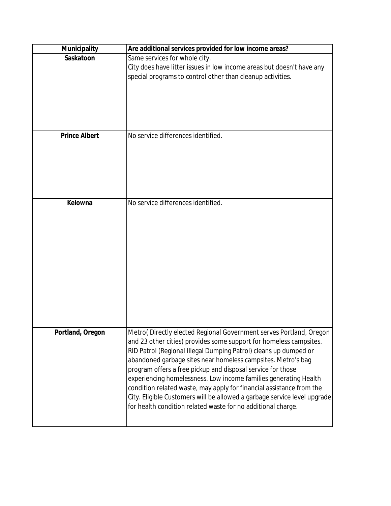| Municipality         | Are additional services provided for low income areas?                                                                                                                                                                                                                                                                                                                                                                                                                                                                                                                                                                              |  |  |
|----------------------|-------------------------------------------------------------------------------------------------------------------------------------------------------------------------------------------------------------------------------------------------------------------------------------------------------------------------------------------------------------------------------------------------------------------------------------------------------------------------------------------------------------------------------------------------------------------------------------------------------------------------------------|--|--|
| Saskatoon            | Same services for whole city.<br>City does have litter issues in low income areas but doesn't have any<br>special programs to control other than cleanup activities.                                                                                                                                                                                                                                                                                                                                                                                                                                                                |  |  |
| <b>Prince Albert</b> | No service differences identified.                                                                                                                                                                                                                                                                                                                                                                                                                                                                                                                                                                                                  |  |  |
|                      |                                                                                                                                                                                                                                                                                                                                                                                                                                                                                                                                                                                                                                     |  |  |
| Kelowna              | No service differences identified.                                                                                                                                                                                                                                                                                                                                                                                                                                                                                                                                                                                                  |  |  |
| Portland, Oregon     | Metro(Directly elected Regional Government serves Portland, Oregon<br>and 23 other cities) provides some support for homeless campsites.<br>RID Patrol (Regional Illegal Dumping Patrol) cleans up dumped or<br>abandoned garbage sites near homeless campsites. Metro's bag<br>program offers a free pickup and disposal service for those<br>experiencing homelessness. Low income families generating Health<br>condition related waste, may apply for financial assistance from the<br>City. Eligible Customers will be allowed a garbage service level upgrade<br>for health condition related waste for no additional charge. |  |  |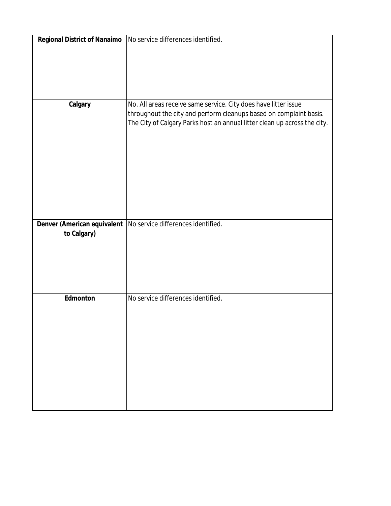| Regional District of Nanaimo | No service differences identified.                                        |
|------------------------------|---------------------------------------------------------------------------|
|                              |                                                                           |
|                              |                                                                           |
|                              |                                                                           |
|                              |                                                                           |
|                              |                                                                           |
|                              |                                                                           |
| Calgary                      | No. All areas receive same service. City does have litter issue           |
|                              | throughout the city and perform cleanups based on complaint basis.        |
|                              | The City of Calgary Parks host an annual litter clean up across the city. |
|                              |                                                                           |
|                              |                                                                           |
|                              |                                                                           |
|                              |                                                                           |
|                              |                                                                           |
|                              |                                                                           |
|                              |                                                                           |
|                              |                                                                           |
|                              |                                                                           |
|                              |                                                                           |
| Denver (American equivalent  | No service differences identified.                                        |
| to Calgary)                  |                                                                           |
|                              |                                                                           |
|                              |                                                                           |
|                              |                                                                           |
|                              |                                                                           |
|                              |                                                                           |
| Edmonton                     | No service differences identified.                                        |
|                              |                                                                           |
|                              |                                                                           |
|                              |                                                                           |
|                              |                                                                           |
|                              |                                                                           |
|                              |                                                                           |
|                              |                                                                           |
|                              |                                                                           |
|                              |                                                                           |
|                              |                                                                           |
|                              |                                                                           |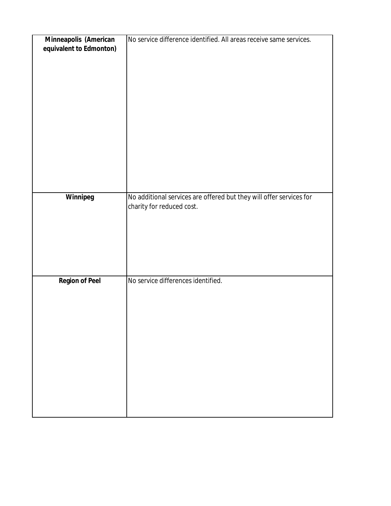| Minneapolis (American   | No service difference identified. All areas receive same services.  |
|-------------------------|---------------------------------------------------------------------|
| equivalent to Edmonton) |                                                                     |
|                         |                                                                     |
|                         |                                                                     |
|                         |                                                                     |
|                         |                                                                     |
|                         |                                                                     |
|                         |                                                                     |
|                         |                                                                     |
|                         |                                                                     |
|                         |                                                                     |
|                         |                                                                     |
|                         |                                                                     |
|                         |                                                                     |
|                         |                                                                     |
|                         |                                                                     |
|                         |                                                                     |
|                         |                                                                     |
|                         |                                                                     |
|                         |                                                                     |
| Winnipeg                | No additional services are offered but they will offer services for |
|                         | charity for reduced cost.                                           |
|                         |                                                                     |
|                         |                                                                     |
|                         |                                                                     |
|                         |                                                                     |
|                         |                                                                     |
|                         |                                                                     |
|                         |                                                                     |
|                         |                                                                     |
|                         | No service differences identified.                                  |
| <b>Region of Peel</b>   |                                                                     |
|                         |                                                                     |
|                         |                                                                     |
|                         |                                                                     |
|                         |                                                                     |
|                         |                                                                     |
|                         |                                                                     |
|                         |                                                                     |
|                         |                                                                     |
|                         |                                                                     |
|                         |                                                                     |
|                         |                                                                     |
|                         |                                                                     |
|                         |                                                                     |
|                         |                                                                     |
|                         |                                                                     |
|                         |                                                                     |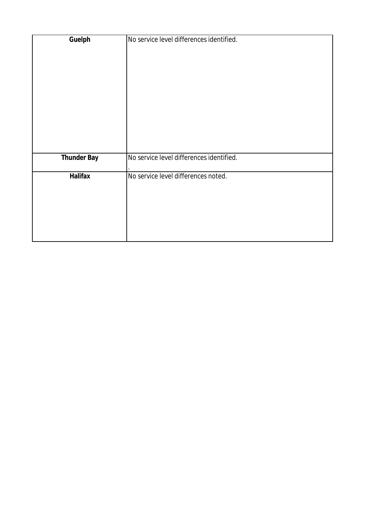| Guelph             | No service level differences identified. |
|--------------------|------------------------------------------|
|                    |                                          |
|                    |                                          |
|                    |                                          |
|                    |                                          |
|                    |                                          |
|                    |                                          |
|                    |                                          |
|                    |                                          |
|                    |                                          |
| <b>Thunder Bay</b> | No service level differences identified. |
| <b>Halifax</b>     | No service level differences noted.      |
|                    |                                          |
|                    |                                          |
|                    |                                          |
|                    |                                          |
|                    |                                          |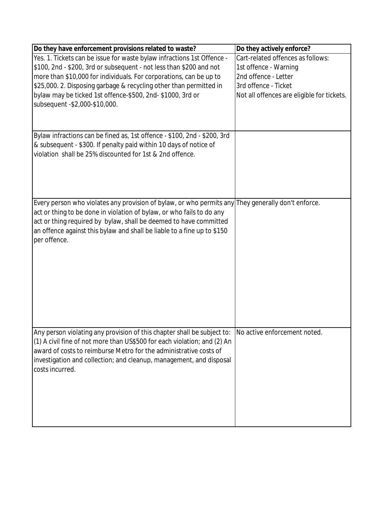| Do they have enforcement provisions related to waste?                                              | Do they actively enforce?                  |
|----------------------------------------------------------------------------------------------------|--------------------------------------------|
| Yes. 1. Tickets can be issue for waste bylaw infractions 1st Offence -                             | Cart-related offences as follows:          |
| \$100, 2nd - \$200, 3rd or subsequent - not less than \$200 and not                                | 1st offence - Warning                      |
| more than \$10,000 for individuals. For corporations, can be up to                                 | 2nd offence - Letter                       |
| \$25,000. 2. Disposing garbage & recycling other than permitted in                                 | 3rd offence - Ticket                       |
| bylaw may be ticked 1st offence-\$500, 2nd- \$1000, 3rd or                                         | Not all offences are eligible for tickets. |
| subsequent - \$2,000-\$10,000.                                                                     |                                            |
|                                                                                                    |                                            |
|                                                                                                    |                                            |
| Bylaw infractions can be fined as, 1st offence - \$100, 2nd - \$200, 3rd                           |                                            |
| & subsequent - \$300. If penalty paid within 10 days of notice of                                  |                                            |
| violation shall be 25% discounted for 1st & 2nd offence.                                           |                                            |
|                                                                                                    |                                            |
|                                                                                                    |                                            |
|                                                                                                    |                                            |
|                                                                                                    |                                            |
| Every person who violates any provision of bylaw, or who permits any They generally don't enforce. |                                            |
| act or thing to be done in violation of bylaw, or who fails to do any                              |                                            |
| act or thing required by bylaw, shall be deemed to have committed                                  |                                            |
| an offence against this bylaw and shall be liable to a fine up to \$150                            |                                            |
| per offence.                                                                                       |                                            |
|                                                                                                    |                                            |
|                                                                                                    |                                            |
|                                                                                                    |                                            |
|                                                                                                    |                                            |
|                                                                                                    |                                            |
|                                                                                                    |                                            |
|                                                                                                    |                                            |
|                                                                                                    |                                            |
|                                                                                                    |                                            |
| Any person violating any provision of this chapter shall be subject to:                            | No active enforcement noted.               |
| (1) A civil fine of not more than US\$500 for each violation; and (2) An                           |                                            |
| award of costs to reimburse Metro for the administrative costs of                                  |                                            |
| investigation and collection; and cleanup, management, and disposal                                |                                            |
| costs incurred.                                                                                    |                                            |
|                                                                                                    |                                            |
|                                                                                                    |                                            |
|                                                                                                    |                                            |
|                                                                                                    |                                            |
|                                                                                                    |                                            |
|                                                                                                    |                                            |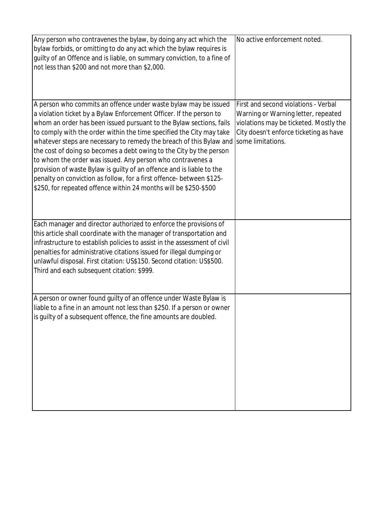| Any person who contravenes the bylaw, by doing any act which the<br>bylaw forbids, or omitting to do any act which the bylaw requires is<br>guilty of an Offence and is liable, on summary conviction, to a fine of<br>not less than \$200 and not more than \$2,000.                                                                                                                                                                                                                                                                                                                                                                                                                                                  | No active enforcement noted.                                                                                                                                                         |
|------------------------------------------------------------------------------------------------------------------------------------------------------------------------------------------------------------------------------------------------------------------------------------------------------------------------------------------------------------------------------------------------------------------------------------------------------------------------------------------------------------------------------------------------------------------------------------------------------------------------------------------------------------------------------------------------------------------------|--------------------------------------------------------------------------------------------------------------------------------------------------------------------------------------|
| A person who commits an offence under waste bylaw may be issued<br>a violation ticket by a Bylaw Enforcement Officer. If the person to<br>whom an order has been issued pursuant to the Bylaw sections, fails<br>to comply with the order within the time specified the City may take<br>whatever steps are necessary to remedy the breach of this Bylaw and<br>the cost of doing so becomes a debt owing to the City by the person<br>to whom the order was issued. Any person who contravenes a<br>provision of waste Bylaw is guilty of an offence and is liable to the<br>penalty on conviction as follow, for a first offence- between \$125-<br>\$250, for repeated offence within 24 months will be \$250-\$500 | First and second violations - Verbal<br>Warning or Warning letter, repeated<br>violations may be ticketed. Mostly the<br>City doesn't enforce ticketing as have<br>some limitations. |
| Each manager and director authorized to enforce the provisions of<br>this article shall coordinate with the manager of transportation and<br>infrastructure to establish policies to assist in the assessment of civil<br>penalties for administrative citations issued for illegal dumping or<br>unlawful disposal. First citation: US\$150. Second citation: US\$500.<br>Third and each subsequent citation: \$999.                                                                                                                                                                                                                                                                                                  |                                                                                                                                                                                      |
| A person or owner found guilty of an offence under Waste Bylaw is<br>liable to a fine in an amount not less than \$250. If a person or owner<br>is guilty of a subsequent offence, the fine amounts are doubled.                                                                                                                                                                                                                                                                                                                                                                                                                                                                                                       |                                                                                                                                                                                      |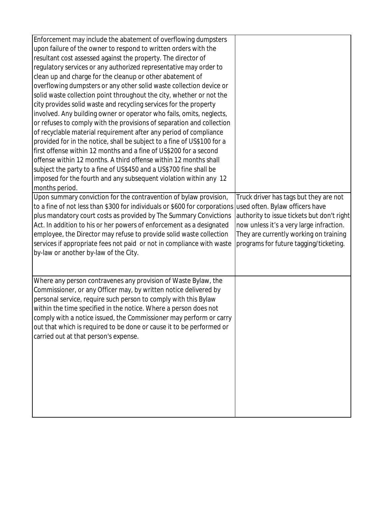| Enforcement may include the abatement of overflowing dumpsters                                             |                                            |
|------------------------------------------------------------------------------------------------------------|--------------------------------------------|
| upon failure of the owner to respond to written orders with the                                            |                                            |
| resultant cost assessed against the property. The director of                                              |                                            |
| regulatory services or any authorized representative may order to                                          |                                            |
| clean up and charge for the cleanup or other abatement of                                                  |                                            |
| overflowing dumpsters or any other solid waste collection device or                                        |                                            |
| solid waste collection point throughout the city, whether or not the                                       |                                            |
| city provides solid waste and recycling services for the property                                          |                                            |
| involved. Any building owner or operator who fails, omits, neglects,                                       |                                            |
| or refuses to comply with the provisions of separation and collection                                      |                                            |
| of recyclable material requirement after any period of compliance                                          |                                            |
| provided for in the notice, shall be subject to a fine of US\$100 for a                                    |                                            |
| first offense within 12 months and a fine of US\$200 for a second                                          |                                            |
| offense within 12 months. A third offense within 12 months shall                                           |                                            |
| subject the party to a fine of US\$450 and a US\$700 fine shall be                                         |                                            |
| imposed for the fourth and any subsequent violation within any 12                                          |                                            |
| months period.                                                                                             |                                            |
| Upon summary conviction for the contravention of bylaw provision,                                          | Truck driver has tags but they are not     |
| to a fine of not less than \$300 for individuals or \$600 for corporations used often. Bylaw officers have |                                            |
| plus mandatory court costs as provided by The Summary Convictions                                          | authority to issue tickets but don't right |
| Act. In addition to his or her powers of enforcement as a designated                                       | now unless it's a very large infraction.   |
| employee, the Director may refuse to provide solid waste collection                                        | They are currently working on training     |
| services if appropriate fees not paid or not in compliance with waste                                      | programs for future tagging/ticketing.     |
| by-law or another by-law of the City.                                                                      |                                            |
|                                                                                                            |                                            |
|                                                                                                            |                                            |
| Where any person contravenes any provision of Waste Bylaw, the                                             |                                            |
| Commissioner, or any Officer may, by written notice delivered by                                           |                                            |
| personal service, require such person to comply with this Bylaw                                            |                                            |
| within the time specified in the notice. Where a person does not                                           |                                            |
| comply with a notice issued, the Commissioner may perform or carry                                         |                                            |
| out that which is required to be done or cause it to be performed or                                       |                                            |
| carried out at that person's expense.                                                                      |                                            |
|                                                                                                            |                                            |
|                                                                                                            |                                            |
|                                                                                                            |                                            |
|                                                                                                            |                                            |
|                                                                                                            |                                            |
|                                                                                                            |                                            |
|                                                                                                            |                                            |
|                                                                                                            |                                            |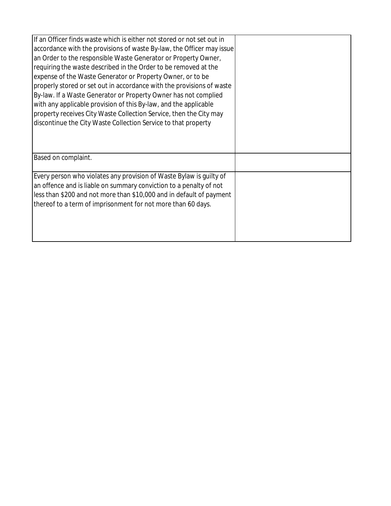| If an Officer finds waste which is either not stored or not set out in<br>accordance with the provisions of waste By-law, the Officer may issue<br>an Order to the responsible Waste Generator or Property Owner,<br>requiring the waste described in the Order to be removed at the<br>expense of the Waste Generator or Property Owner, or to be<br>properly stored or set out in accordance with the provisions of waste<br>By-law. If a Waste Generator or Property Owner has not complied<br>with any applicable provision of this By-law, and the applicable<br>property receives City Waste Collection Service, then the City may<br>discontinue the City Waste Collection Service to that property |  |
|------------------------------------------------------------------------------------------------------------------------------------------------------------------------------------------------------------------------------------------------------------------------------------------------------------------------------------------------------------------------------------------------------------------------------------------------------------------------------------------------------------------------------------------------------------------------------------------------------------------------------------------------------------------------------------------------------------|--|
| Based on complaint.                                                                                                                                                                                                                                                                                                                                                                                                                                                                                                                                                                                                                                                                                        |  |
| Every person who violates any provision of Waste Bylaw is quilty of<br>an offence and is liable on summary conviction to a penalty of not<br>less than \$200 and not more than \$10,000 and in default of payment<br>thereof to a term of imprisonment for not more than 60 days.                                                                                                                                                                                                                                                                                                                                                                                                                          |  |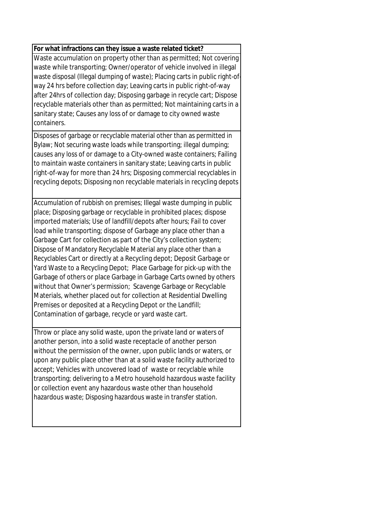## **For what infractions can they issue a waste related ticket?**

Waste accumulation on property other than as permitted; Not covering waste while transporting; Owner/operator of vehicle involved in illegal waste disposal (Illegal dumping of waste); Placing carts in public right-ofway 24 hrs before collection day; Leaving carts in public right-of-way after 24hrs of collection day; Disposing garbage in recycle cart; Dispose recyclable materials other than as permitted; Not maintaining carts in a sanitary state; Causes any loss of or damage to city owned waste containers.

Disposes of garbage or recyclable material other than as permitted in Bylaw; Not securing waste loads while transporting; illegal dumping; causes any loss of or damage to a City-owned waste containers; Failing to maintain waste containers in sanitary state; Leaving carts in public right-of-way for more than 24 hrs; Disposing commercial recyclables in recycling depots; Disposing non recyclable materials in recycling depots

Accumulation of rubbish on premises; Illegal waste dumping in public place; Disposing garbage or recyclable in prohibited places; dispose imported materials; Use of landfill/depots after hours; Fail to cover load while transporting; dispose of Garbage any place other than a Garbage Cart for collection as part of the City's collection system; Dispose of Mandatory Recyclable Material any place other than a Recyclables Cart or directly at a Recycling depot; Deposit Garbage or Yard Waste to a Recycling Depot; Place Garbage for pick-up with the Garbage of others or place Garbage in Garbage Carts owned by others without that Owner's permission; Scavenge Garbage or Recyclable Materials, whether placed out for collection at Residential Dwelling Premises or deposited at a Recycling Depot or the Landfill; Contamination of garbage, recycle or yard waste cart.

Throw or place any solid waste, upon the private land or waters of another person, into a solid waste receptacle of another person without the permission of the owner, upon public lands or waters, or upon any public place other than at a solid waste facility authorized to accept; Vehicles with uncovered load of waste or recyclable while transporting; delivering to a Metro household hazardous waste facility or collection event any hazardous waste other than household hazardous waste; Disposing hazardous waste in transfer station.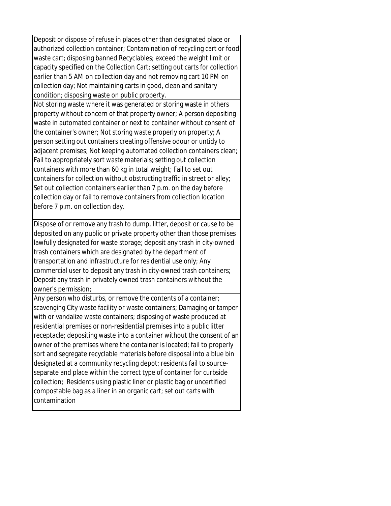Deposit or dispose of refuse in places other than designated place or authorized collection container; Contamination of recycling cart or food waste cart; disposing banned Recyclables; exceed the weight limit or capacity specified on the Collection Cart; setting out carts for collection earlier than 5 AM on collection day and not removing cart 10 PM on collection day; Not maintaining carts in good, clean and sanitary condition; disposing waste on public property. Not storing waste where it was generated or storing waste in others property without concern of that property owner; A person depositing waste in automated container or next to container without consent of the container's owner; Not storing waste properly on property; A person setting out containers creating offensive odour or untidy to adjacent premises; Not keeping automated collection containers clean; Fail to appropriately sort waste materials; setting out collection containers with more than 60 kg in total weight; Fail to set out containers for collection without obstructing traffic in street or alley; Set out collection containers earlier than 7 p.m. on the day before collection day or fail to remove containers from collection location before 7 p.m. on collection day.

Dispose of or remove any trash to dump, litter, deposit or cause to be deposited on any public or private property other than those premises lawfully designated for waste storage; deposit any trash in city-owned trash containers which are designated by the department of transportation and infrastructure for residential use only; Any commercial user to deposit any trash in city-owned trash containers; Deposit any trash in privately owned trash containers without the owner's permission;

Any person who disturbs, or remove the contents of a container; scavenging City waste facility or waste containers; Damaging or tamper with or vandalize waste containers; disposing of waste produced at residential premises or non-residential premises into a public litter receptacle; depositing waste into a container without the consent of an owner of the premises where the container is located; fail to properly sort and segregate recyclable materials before disposal into a blue bin designated at a community recycling depot; residents fail to sourceseparate and place within the correct type of container for curbside collection; Residents using plastic liner or plastic bag or uncertified compostable bag as a liner in an organic cart; set out carts with contamination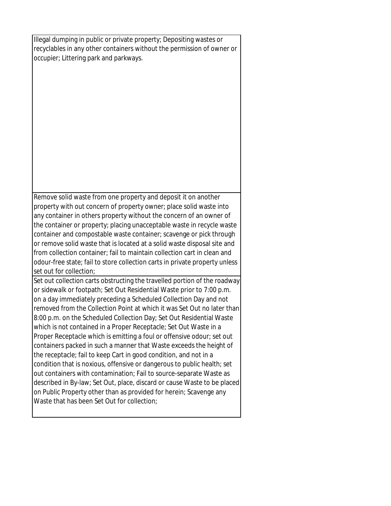Illegal dumping in public or private property; Depositing wastes or recyclables in any other containers without the permission of owner or occupier; Littering park and parkways.

Remove solid waste from one property and deposit it on another property with out concern of property owner; place solid waste into any container in others property without the concern of an owner of the container or property; placing unacceptable waste in recycle waste container and compostable waste container; scavenge or pick through or remove solid waste that is located at a solid waste disposal site and from collection container; fail to maintain collection cart in clean and odour-free state; fail to store collection carts in private property unless set out for collection;

Set out collection carts obstructing the travelled portion of the roadway or sidewalk or footpath; Set Out Residential Waste prior to 7:00 p.m. on a day immediately preceding a Scheduled Collection Day and not removed from the Collection Point at which it was Set Out no later than 8:00 p.m. on the Scheduled Collection Day; Set Out Residential Waste which is not contained in a Proper Receptacle; Set Out Waste in a Proper Receptacle which is emitting a foul or offensive odour; set out containers packed in such a manner that Waste exceeds the height of the receptacle; fail to keep Cart in good condition, and not in a condition that is noxious, offensive or dangerous to public health; set out containers with contamination; Fail to source-separate Waste as described in By-law; Set Out, place, discard or cause Waste to be placed on Public Property other than as provided for herein; Scavenge any Waste that has been Set Out for collection;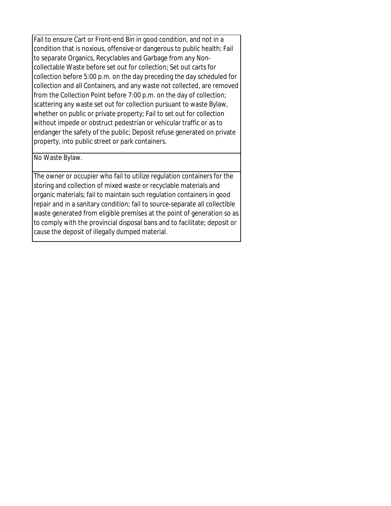Fail to ensure Cart or Front-end Bin in good condition, and not in a condition that is noxious, offensive or dangerous to public health; Fail to separate Organics, Recyclables and Garbage from any Noncollectable Waste before set out for collection; Set out carts for collection before 5:00 p.m. on the day preceding the day scheduled for collection and all Containers, and any waste not collected, are removed from the Collection Point before 7:00 p.m. on the day of collection; scattering any waste set out for collection pursuant to waste Bylaw, whether on public or private property; Fail to set out for collection without impede or obstruct pedestrian or vehicular traffic or as to endanger the safety of the public; Deposit refuse generated on private property, into public street or park containers.

No Waste Bylaw.

The owner or occupier who fail to utilize regulation containers for the storing and collection of mixed waste or recyclable materials and organic materials; fail to maintain such regulation containers in good repair and in a sanitary condition; fail to source-separate all collectible waste generated from eligible premises at the point of generation so as to comply with the provincial disposal bans and to facilitate; deposit or cause the deposit of illegally dumped material.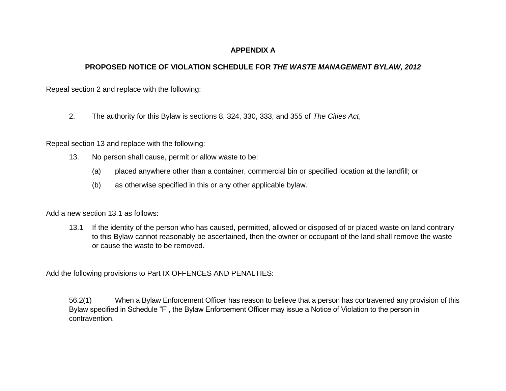## **APPENDIX A**

## **PROPOSED NOTICE OF VIOLATION SCHEDULE FOR** *THE WASTE MANAGEMENT BYLAW, 2012*

Repeal section 2 and replace with the following:

2. The authority for this Bylaw is sections 8, 324, 330, 333, and 355 of *The Cities Act*,

Repeal section 13 and replace with the following:

- 13. No person shall cause, permit or allow waste to be:
	- (a) placed anywhere other than a container, commercial bin or specified location at the landfill; or
	- (b) as otherwise specified in this or any other applicable bylaw.

Add a new section 13.1 as follows:

13.1 If the identity of the person who has caused, permitted, allowed or disposed of or placed waste on land contrary to this Bylaw cannot reasonably be ascertained, then the owner or occupant of the land shall remove the waste or cause the waste to be removed.

Add the following provisions to Part IX OFFENCES AND PENALTIES:

56.2(1) When a Bylaw Enforcement Officer has reason to believe that a person has contravened any provision of this Bylaw specified in Schedule "F", the Bylaw Enforcement Officer may issue a Notice of Violation to the person in contravention.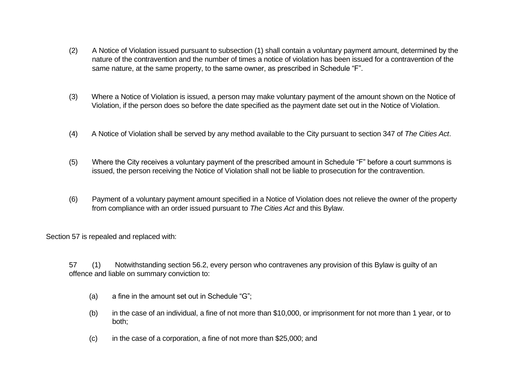- (2) A Notice of Violation issued pursuant to subsection (1) shall contain a voluntary payment amount, determined by the nature of the contravention and the number of times a notice of violation has been issued for a contravention of the same nature, at the same property, to the same owner, as prescribed in Schedule "F".
- (3) Where a Notice of Violation is issued, a person may make voluntary payment of the amount shown on the Notice of Violation, if the person does so before the date specified as the payment date set out in the Notice of Violation.
- (4) A Notice of Violation shall be served by any method available to the City pursuant to section 347 of *The Cities Act*.
- (5) Where the City receives a voluntary payment of the prescribed amount in Schedule "F" before a court summons is issued, the person receiving the Notice of Violation shall not be liable to prosecution for the contravention.
- (6) Payment of a voluntary payment amount specified in a Notice of Violation does not relieve the owner of the property from compliance with an order issued pursuant to *The Cities Act* and this Bylaw.

Section 57 is repealed and replaced with:

57 (1) Notwithstanding section 56.2, every person who contravenes any provision of this Bylaw is guilty of an offence and liable on summary conviction to:

- (a) a fine in the amount set out in Schedule "G";
- (b) in the case of an individual, a fine of not more than \$10,000, or imprisonment for not more than 1 year, or to both;
- (c) in the case of a corporation, a fine of not more than \$25,000; and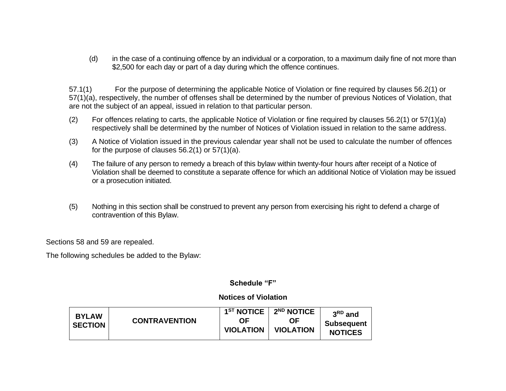(d) in the case of a continuing offence by an individual or a corporation, to a maximum daily fine of not more than \$2,500 for each day or part of a day during which the offence continues.

57.1(1) For the purpose of determining the applicable Notice of Violation or fine required by clauses 56.2(1) or 57(1)(a), respectively, the number of offenses shall be determined by the number of previous Notices of Violation, that are not the subject of an appeal, issued in relation to that particular person.

- (2) For offences relating to carts, the applicable Notice of Violation or fine required by clauses 56.2(1) or 57(1)(a) respectively shall be determined by the number of Notices of Violation issued in relation to the same address.
- (3) A Notice of Violation issued in the previous calendar year shall not be used to calculate the number of offences for the purpose of clauses 56.2(1) or 57(1)(a).
- (4) The failure of any person to remedy a breach of this bylaw within twenty-four hours after receipt of a Notice of Violation shall be deemed to constitute a separate offence for which an additional Notice of Violation may be issued or a prosecution initiated.
- (5) Nothing in this section shall be construed to prevent any person from exercising his right to defend a charge of contravention of this Bylaw.

Sections 58 and 59 are repealed.

The following schedules be added to the Bylaw:

## **Schedule "F"**

## **Notices of Violation**

| <b>BYLAW</b><br><b>SECTION</b> | <b>CONTRAVENTION</b> | $1ST$ NOTICE<br>ΩF<br><b>VIOLATION</b> | 2 <sup>ND</sup> NOTICE<br>ΟF<br><b>VIOLATION</b> | $3RD$ and<br><b>Subsequent</b><br><b>NOTICES</b> |
|--------------------------------|----------------------|----------------------------------------|--------------------------------------------------|--------------------------------------------------|
|--------------------------------|----------------------|----------------------------------------|--------------------------------------------------|--------------------------------------------------|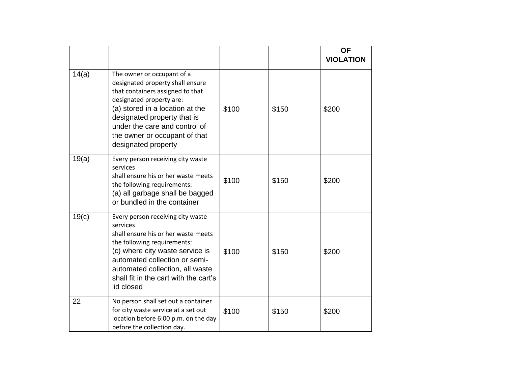|       |                                                                                                                                                                                                                                                                                           |       |       | <b>OF</b><br><b>VIOLATION</b> |
|-------|-------------------------------------------------------------------------------------------------------------------------------------------------------------------------------------------------------------------------------------------------------------------------------------------|-------|-------|-------------------------------|
| 14(a) | The owner or occupant of a<br>designated property shall ensure<br>that containers assigned to that<br>designated property are:<br>(a) stored in a location at the<br>designated property that is<br>under the care and control of<br>the owner or occupant of that<br>designated property | \$100 | \$150 | \$200                         |
| 19(a) | Every person receiving city waste<br>services<br>shall ensure his or her waste meets<br>the following requirements:<br>(a) all garbage shall be bagged<br>or bundled in the container                                                                                                     | \$100 | \$150 | \$200                         |
| 19(c) | Every person receiving city waste<br>services<br>shall ensure his or her waste meets<br>the following requirements:<br>(c) where city waste service is<br>automated collection or semi-<br>automated collection, all waste<br>shall fit in the cart with the cart's<br>lid closed         | \$100 | \$150 | \$200                         |
| 22    | No person shall set out a container<br>for city waste service at a set out<br>location before 6:00 p.m. on the day<br>before the collection day.                                                                                                                                          | \$100 | \$150 | \$200                         |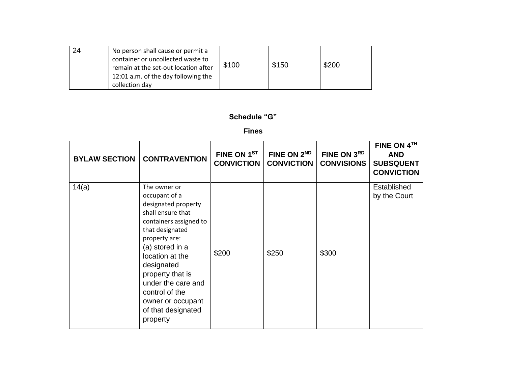| 24 | No person shall cause or permit a<br>container or uncollected waste to<br>remain at the set-out location after<br>12:01 a.m. of the day following the<br>collection day | \$100 | \$150 | \$200 |
|----|-------------------------------------------------------------------------------------------------------------------------------------------------------------------------|-------|-------|-------|
|----|-------------------------------------------------------------------------------------------------------------------------------------------------------------------------|-------|-------|-------|

**Schedule "G"**

**Fines**

| <b>BYLAW SECTION</b> | <b>CONTRAVENTION</b>                                                                                                                                                                                                                                                                                           | FINE ON 1ST<br><b>CONVICTION</b> | FINE ON 2ND<br><b>CONVICTION</b> | FINE ON 3RD<br><b>CONVISIONS</b> | FINE ON 4TH<br><b>AND</b><br><b>SUBSQUENT</b><br><b>CONVICTION</b> |
|----------------------|----------------------------------------------------------------------------------------------------------------------------------------------------------------------------------------------------------------------------------------------------------------------------------------------------------------|----------------------------------|----------------------------------|----------------------------------|--------------------------------------------------------------------|
| 14(a)                | The owner or<br>occupant of a<br>designated property<br>shall ensure that<br>containers assigned to<br>that designated<br>property are:<br>(a) stored in a<br>location at the<br>designated<br>property that is<br>under the care and<br>control of the<br>owner or occupant<br>of that designated<br>property | \$200                            | \$250                            | \$300                            | Established<br>by the Court                                        |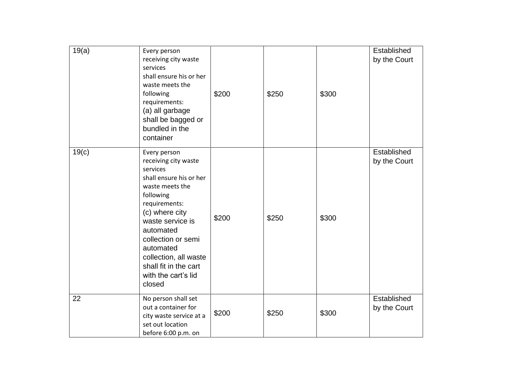| 19(a) | Every person<br>receiving city waste<br>services<br>shall ensure his or her<br>waste meets the<br>following<br>requirements:<br>(a) all garbage<br>shall be bagged or<br>bundled in the<br>container                                                                                                  | \$200 | \$250 | \$300 | Established<br>by the Court |
|-------|-------------------------------------------------------------------------------------------------------------------------------------------------------------------------------------------------------------------------------------------------------------------------------------------------------|-------|-------|-------|-----------------------------|
| 19(c) | Every person<br>receiving city waste<br>services<br>shall ensure his or her<br>waste meets the<br>following<br>requirements:<br>(c) where city<br>waste service is<br>automated<br>collection or semi<br>automated<br>collection, all waste<br>shall fit in the cart<br>with the cart's lid<br>closed | \$200 | \$250 | \$300 | Established<br>by the Court |
| 22    | No person shall set<br>out a container for<br>city waste service at a<br>set out location<br>before 6:00 p.m. on                                                                                                                                                                                      | \$200 | \$250 | \$300 | Established<br>by the Court |